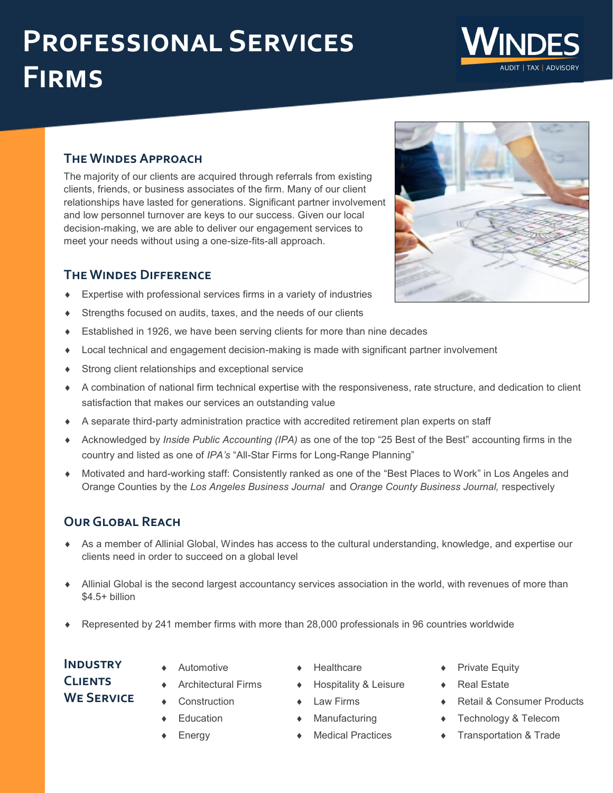# **Professional Services Firms**

#### **The Windes Approach**

The majority of our clients are acquired through referrals from existing clients, friends, or business associates of the firm. Many of our client relationships have lasted for generations. Significant partner involvement and low personnel turnover are keys to our success. Given our local decision-making, we are able to deliver our engagement services to meet your needs without using a one-size-fits-all approach.

# **The Windes Difference**

- Expertise with professional services firms in a variety of industries
- Strengths focused on audits, taxes, and the needs of our clients
- Established in 1926, we have been serving clients for more than nine decades
- Local technical and engagement decision-making is made with significant partner involvement
- Strong client relationships and exceptional service
- A combination of national firm technical expertise with the responsiveness, rate structure, and dedication to client satisfaction that makes our services an outstanding value
- A separate third-party administration practice with accredited retirement plan experts on staff
- Acknowledged by *Inside Public Accounting (IPA)* as one of the top "25 Best of the Best" accounting firms in the country and listed as one of *IPA's* "All-Star Firms for Long-Range Planning"
- Motivated and hard-working staff: Consistently ranked as one of the "Best Places to Work" in Los Angeles and Orange Counties by the *Los Angeles Business Journal* and *Orange County Business Journal,* respectively

# **Our Global Reach**

- As a member of Allinial Global, Windes has access to the cultural understanding, knowledge, and expertise our clients need in order to succeed on a global level
- Allinial Global is the second largest accountancy services association in the world, with revenues of more than \$4.5+ billion
- Represented by 241 member firms with more than 28,000 professionals in 96 countries worldwide

# **Industry Clients We Service**

- Automotive
- Architectural Firms
- Construction
- Education
- Energy
- Healthcare
- Hospitality & Leisure
- Law Firms
- Manufacturing
- Medical Practices
- Private Equity
- Real Estate
- Retail & Consumer Products
- Technology & Telecom
- **Transportation & Trade**